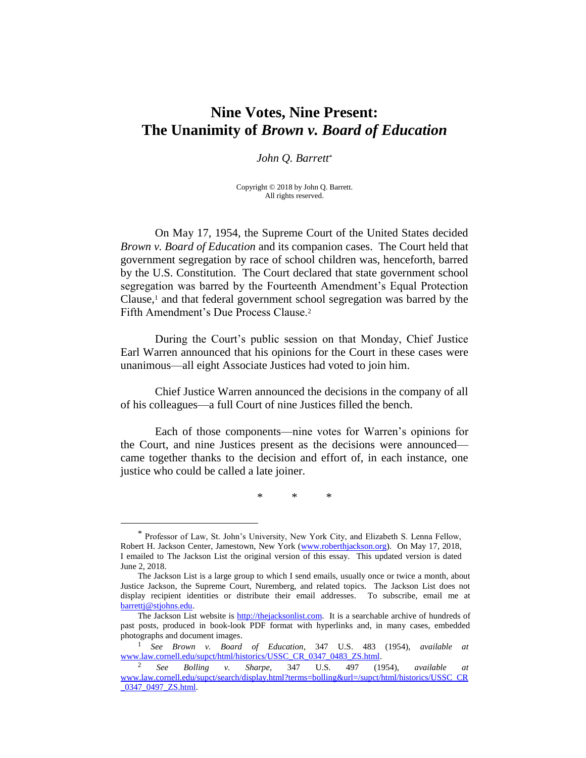# **Nine Votes, Nine Present: The Unanimity of** *Brown v. Board of Education*

### *John Q. Barrett*\*

Copyright © 2018 by John Q. Barrett. All rights reserved.

On May 17, 1954, the Supreme Court of the United States decided *Brown v. Board of Education* and its companion cases. The Court held that government segregation by race of school children was, henceforth, barred by the U.S. Constitution. The Court declared that state government school segregation was barred by the Fourteenth Amendment's Equal Protection Clause,<sup>1</sup> and that federal government school segregation was barred by the Fifth Amendment's Due Process Clause.<sup>2</sup>

During the Court's public session on that Monday, Chief Justice Earl Warren announced that his opinions for the Court in these cases were unanimous—all eight Associate Justices had voted to join him.

Chief Justice Warren announced the decisions in the company of all of his colleagues—a full Court of nine Justices filled the bench.

Each of those components—nine votes for Warren's opinions for the Court, and nine Justices present as the decisions were announced came together thanks to the decision and effort of, in each instance, one justice who could be called a late joiner.

\* \* \*

 $\overline{a}$ 

<sup>\*</sup> Professor of Law, St. John's University, New York City, and Elizabeth S. Lenna Fellow, Robert H. Jackson Center, Jamestown, New York [\(www.roberthjackson.org\)](http://www.roberthjackson.org/). On May 17, 2018, I emailed to The Jackson List the original version of this essay. This updated version is dated June 2, 2018.

The Jackson List is a large group to which I send emails, usually once or twice a month, about Justice Jackson, the Supreme Court, Nuremberg, and related topics. The Jackson List does not display recipient identities or distribute their email addresses. To subscribe, email me at [barrettj@stjohns.edu.](mailto:barrettj@stjohns.edu)

The Jackson List website is [http://thejacksonlist.com.](http://thejacksonlist.com/) It is a searchable archive of hundreds of past posts, produced in book-look PDF format with hyperlinks and, in many cases, embedded photographs and document images.

<sup>1</sup> *See Brown v. Board of Education*, 347 U.S. 483 (1954), *available at* [www.law.cornell.edu/supct/html/historics/USSC\\_CR\\_0347\\_0483\\_ZS.html.](http://www.law.cornell.edu/supct/html/historics/USSC_CR_0347_0483_ZS.html)

<sup>2</sup> *See Bolling v. Sharpe*, 347 U.S. 497 (1954), *available at* [www.law.cornell.edu/supct/search/display.html?terms=bolling&url=/supct/html/historics/USSC\\_CR](http://www.law.cornell.edu/supct/search/display.html?terms=bolling&url=/supct/html/historics/USSC_CR_0347_0497_ZS.html) [\\_0347\\_0497\\_ZS.html.](http://www.law.cornell.edu/supct/search/display.html?terms=bolling&url=/supct/html/historics/USSC_CR_0347_0497_ZS.html)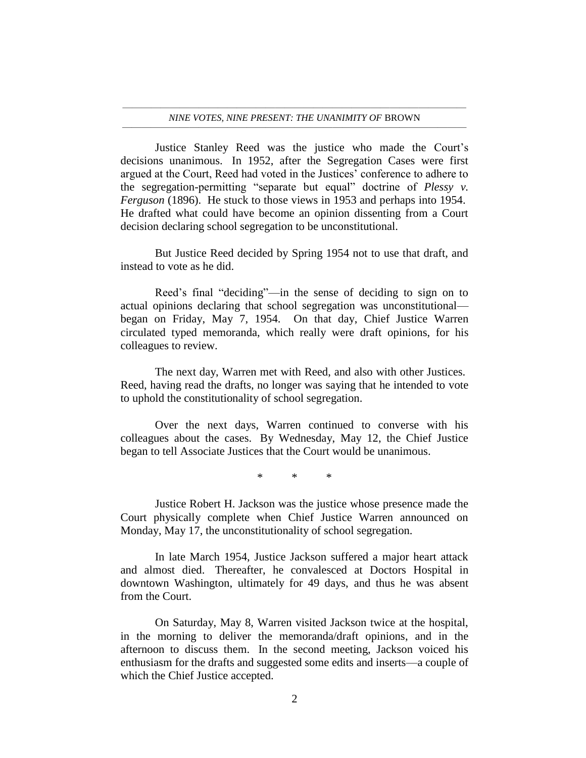#### ———————————————————————————————————— *NINE VOTES, NINE PRESENT: THE UNANIMITY OF* BROWN ————————————————————————————————————

Justice Stanley Reed was the justice who made the Court's decisions unanimous. In 1952, after the Segregation Cases were first argued at the Court, Reed had voted in the Justices' conference to adhere to the segregation-permitting "separate but equal" doctrine of *Plessy v. Ferguson* (1896). He stuck to those views in 1953 and perhaps into 1954. He drafted what could have become an opinion dissenting from a Court decision declaring school segregation to be unconstitutional.

But Justice Reed decided by Spring 1954 not to use that draft, and instead to vote as he did.

Reed's final "deciding"—in the sense of deciding to sign on to actual opinions declaring that school segregation was unconstitutional began on Friday, May 7, 1954. On that day, Chief Justice Warren circulated typed memoranda, which really were draft opinions, for his colleagues to review.

The next day, Warren met with Reed, and also with other Justices. Reed, having read the drafts, no longer was saying that he intended to vote to uphold the constitutionality of school segregation.

Over the next days, Warren continued to converse with his colleagues about the cases. By Wednesday, May 12, the Chief Justice began to tell Associate Justices that the Court would be unanimous.

\* \* \*

Justice Robert H. Jackson was the justice whose presence made the Court physically complete when Chief Justice Warren announced on Monday, May 17, the unconstitutionality of school segregation.

In late March 1954, Justice Jackson suffered a major heart attack and almost died. Thereafter, he convalesced at Doctors Hospital in downtown Washington, ultimately for 49 days, and thus he was absent from the Court.

On Saturday, May 8, Warren visited Jackson twice at the hospital, in the morning to deliver the memoranda/draft opinions, and in the afternoon to discuss them. In the second meeting, Jackson voiced his enthusiasm for the drafts and suggested some edits and inserts—a couple of which the Chief Justice accepted.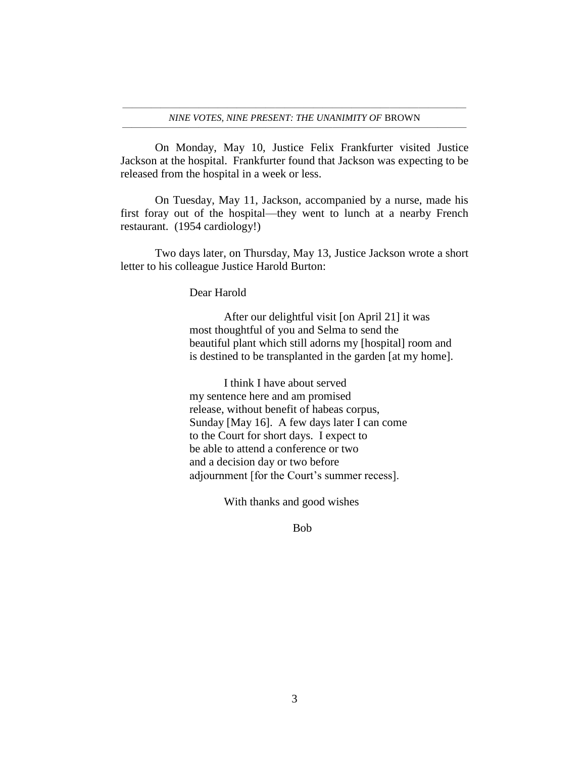On Monday, May 10, Justice Felix Frankfurter visited Justice Jackson at the hospital. Frankfurter found that Jackson was expecting to be released from the hospital in a week or less.

On Tuesday, May 11, Jackson, accompanied by a nurse, made his first foray out of the hospital—they went to lunch at a nearby French restaurant. (1954 cardiology!)

Two days later, on Thursday, May 13, Justice Jackson wrote a short letter to his colleague Justice Harold Burton:

Dear Harold

After our delightful visit [on April 21] it was most thoughtful of you and Selma to send the beautiful plant which still adorns my [hospital] room and is destined to be transplanted in the garden [at my home].

I think I have about served my sentence here and am promised release, without benefit of habeas corpus, Sunday [May 16]. A few days later I can come to the Court for short days. I expect to be able to attend a conference or two and a decision day or two before adjournment [for the Court's summer recess].

With thanks and good wishes

Bob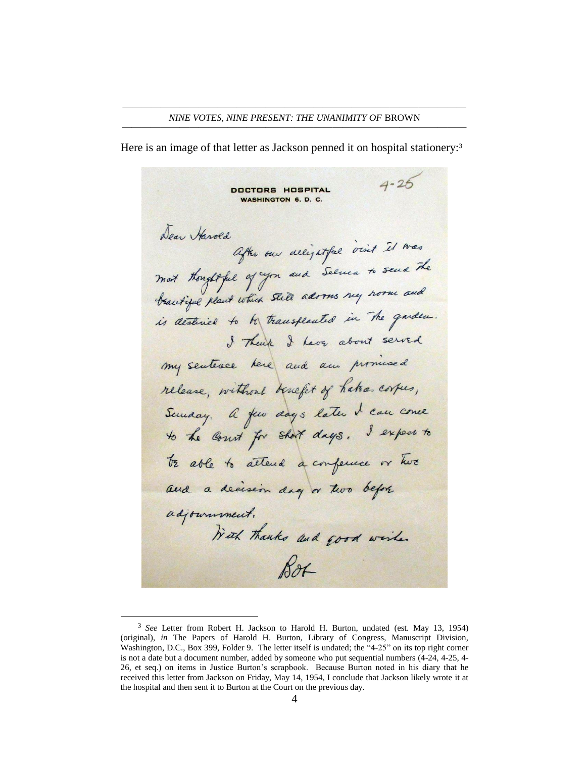Here is an image of that letter as Jackson penned it on hospital stationery:<sup>3</sup>

 $4 - 26$ **DOCTORS HOSPITAL WASHINGTON 6. D. C.** Dear Harold After our alligatful visit il was mot thoughtful of you and Selver to send the brantique plant which still adorms my norm and is destined to be transflanted in the quider. I Thenk I have about served my sentence here and am provinced release, without benefit of hatra corpes, Semaay. A few days later I can come to the court for short days. I expect to TE able to attend a conference or two and a decision day or two before adjournment. With thanks and good wishes Box

 $\overline{a}$ 

<sup>3</sup> *See* Letter from Robert H. Jackson to Harold H. Burton, undated (est. May 13, 1954) (original), *in* The Papers of Harold H. Burton, Library of Congress, Manuscript Division, Washington, D.C., Box 399, Folder 9. The letter itself is undated; the "4-25" on its top right corner is not a date but a document number, added by someone who put sequential numbers (4-24, 4-25, 4- 26, et seq.) on items in Justice Burton's scrapbook. Because Burton noted in his diary that he received this letter from Jackson on Friday, May 14, 1954, I conclude that Jackson likely wrote it at the hospital and then sent it to Burton at the Court on the previous day.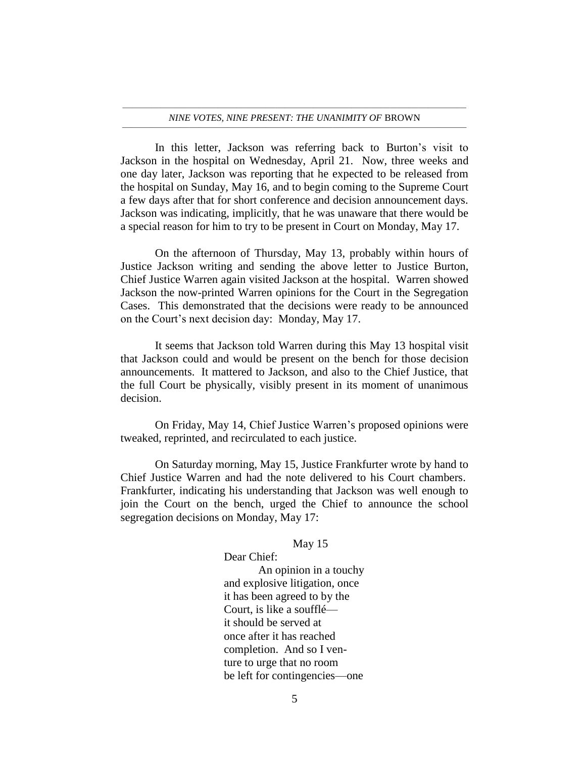#### ———————————————————————————————————— *NINE VOTES, NINE PRESENT: THE UNANIMITY OF* BROWN ————————————————————————————————————

In this letter, Jackson was referring back to Burton's visit to Jackson in the hospital on Wednesday, April 21. Now, three weeks and one day later, Jackson was reporting that he expected to be released from the hospital on Sunday, May 16, and to begin coming to the Supreme Court a few days after that for short conference and decision announcement days. Jackson was indicating, implicitly, that he was unaware that there would be a special reason for him to try to be present in Court on Monday, May 17.

On the afternoon of Thursday, May 13, probably within hours of Justice Jackson writing and sending the above letter to Justice Burton, Chief Justice Warren again visited Jackson at the hospital. Warren showed Jackson the now-printed Warren opinions for the Court in the Segregation Cases. This demonstrated that the decisions were ready to be announced on the Court's next decision day: Monday, May 17.

It seems that Jackson told Warren during this May 13 hospital visit that Jackson could and would be present on the bench for those decision announcements. It mattered to Jackson, and also to the Chief Justice, that the full Court be physically, visibly present in its moment of unanimous decision.

On Friday, May 14, Chief Justice Warren's proposed opinions were tweaked, reprinted, and recirculated to each justice.

On Saturday morning, May 15, Justice Frankfurter wrote by hand to Chief Justice Warren and had the note delivered to his Court chambers. Frankfurter, indicating his understanding that Jackson was well enough to join the Court on the bench, urged the Chief to announce the school segregation decisions on Monday, May 17:

Dear Chief:

May 15

An opinion in a touchy and explosive litigation, once it has been agreed to by the Court, is like a soufflé it should be served at once after it has reached completion. And so I venture to urge that no room be left for contingencies—one